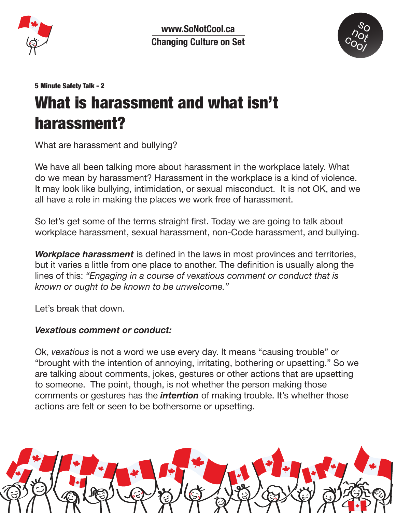

**www.SoNotCool.ca Changing Culture on Set**



#### 5 Minute Safety Talk - 2

# What is harassment and what isn't harassment?

What are harassment and bullying?

We have all been talking more about harassment in the workplace lately. What do we mean by harassment? Harassment in the workplace is a kind of violence. It may look like bullying, intimidation, or sexual misconduct. It is not OK, and we all have a role in making the places we work free of harassment.

So let's get some of the terms straight first. Today we are going to talk about workplace harassment, sexual harassment, non-Code harassment, and bullying.

*Workplace harassment* is defined in the laws in most provinces and territories, but it varies a little from one place to another. The definition is usually along the lines of this: *"Engaging in a course of vexatious comment or conduct that is known or ought to be known to be unwelcome."*

Let's break that down.

#### *Vexatious comment or conduct:*

Ok, *vexatious* is not a word we use every day. It means "causing trouble" or "brought with the intention of annoying, irritating, bothering or upsetting." So we are talking about comments, jokes, gestures or other actions that are upsetting to someone. The point, though, is not whether the person making those comments or gestures has the *intention* of making trouble. It's whether those actions are felt or seen to be bothersome or upsetting.

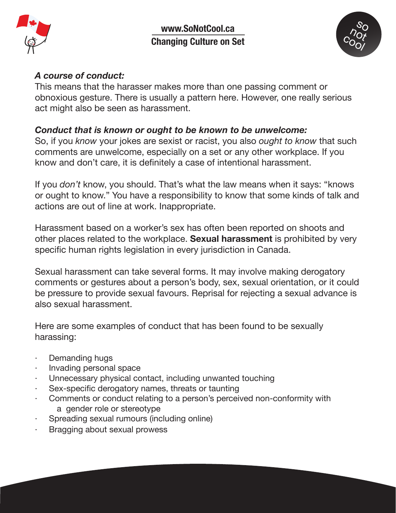

**www.SoNotCool.ca Changing Culture on Set**



#### *A course of conduct:*

This means that the harasser makes more than one passing comment or obnoxious gesture. There is usually a pattern here. However, one really serious act might also be seen as harassment.

## *Conduct that is known or ought to be known to be unwelcome:*

So, if you *know* your jokes are sexist or racist, you also *ought to know* that such comments are unwelcome, especially on a set or any other workplace. If you know and don't care, it is definitely a case of intentional harassment.

If you *don't* know, you should. That's what the law means when it says: "knows or ought to know." You have a responsibility to know that some kinds of talk and actions are out of line at work. Inappropriate.

Harassment based on a worker's sex has often been reported on shoots and other places related to the workplace. **Sexual harassment** is prohibited by very specific human rights legislation in every jurisdiction in Canada.

Sexual harassment can take several forms. It may involve making derogatory comments or gestures about a person's body, sex, sexual orientation, or it could be pressure to provide sexual favours. Reprisal for rejecting a sexual advance is also sexual harassment.

Here are some examples of conduct that has been found to be sexually harassing:

- Demanding hugs
- · Invading personal space
- Unnecessary physical contact, including unwanted touching
- Sex-specific derogatory names, threats or taunting
- Comments or conduct relating to a person's perceived non-conformity with a gender role or stereotype
- · Spreading sexual rumours (including online)
- Bragging about sexual prowess